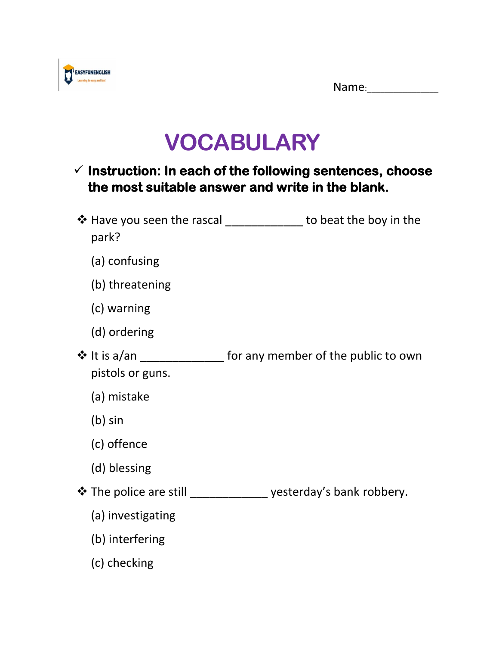

## **VOCABULARY**

## ✓ **Instruction: In each of the following sentences, choose the most suitable answer and write in the blank.**

| park?                            | $\clubsuit$ Have you seen the rascal to beat the boy in the       |
|----------------------------------|-------------------------------------------------------------------|
| (a) confusing                    |                                                                   |
| (b) threatening                  |                                                                   |
| (c) warning                      |                                                                   |
| (d) ordering                     |                                                                   |
| ❖ It is a/an<br>pistols or guns. | for any member of the public to own                               |
| (a) mistake                      |                                                                   |
| $(b)$ sin                        |                                                                   |
| (c) offence                      |                                                                   |
| (d) blessing                     |                                                                   |
|                                  | ❖ The police are still ________________ yesterday's bank robbery. |
| (a) investigating                |                                                                   |
| (b) interfering                  |                                                                   |
| (c) checking                     |                                                                   |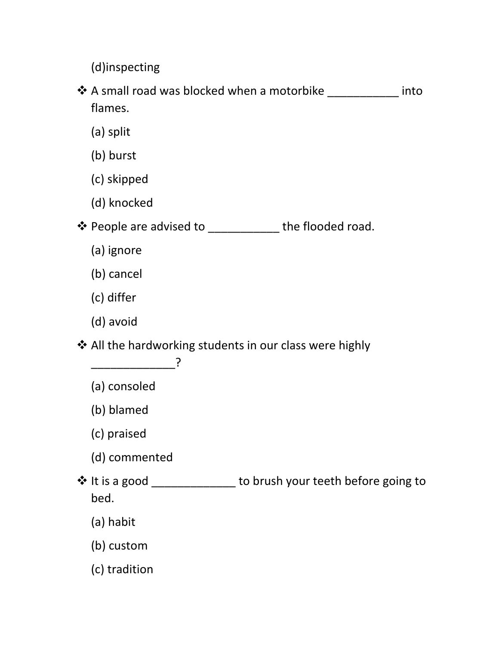(d)inspecting

- ❖ A small road was blocked when a motorbike \_\_\_\_\_\_\_\_\_\_\_ into flames.
	- (a) split
	- (b) burst
	- (c) skipped
	- (d) knocked
- ❖ People are advised to \_\_\_\_\_\_\_\_\_\_\_ the flooded road.
	- (a) ignore
	- (b) cancel
	- (c) differ
	- (d) avoid

\_\_\_\_\_\_\_\_\_\_\_\_\_?

❖ All the hardworking students in our class were highly

| (a) consoled           |                                     |
|------------------------|-------------------------------------|
| (b) blamed             |                                     |
| (c) praised            |                                     |
| (d) commented          |                                     |
| ❖ It is a good<br>bed. | to brush your teeth before going to |
| (a) habit              |                                     |
| (b) custom             |                                     |
|                        |                                     |

(c) tradition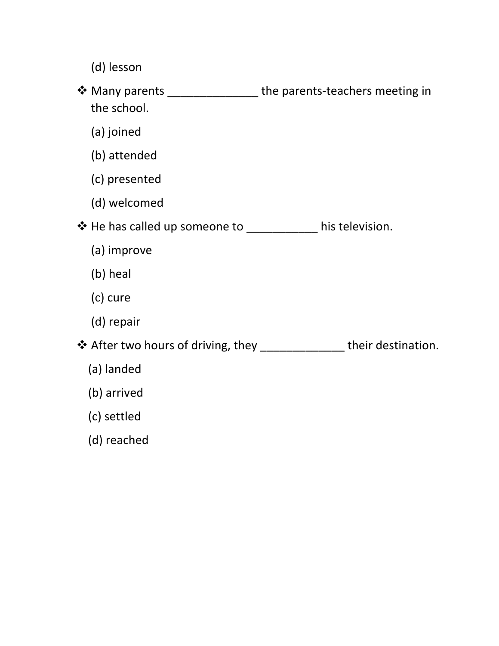- (d) lesson
- ❖ Many parents \_\_\_\_\_\_\_\_\_\_\_\_\_\_ the parents-teachers meeting in the school.
	- (a) joined
	- (b) attended
	- (c) presented
	- (d) welcomed
- ❖ He has called up someone to \_\_\_\_\_\_\_\_\_\_\_ his television.
	- (a) improve
	- (b) heal
	- (c) cure
	- (d) repair

❖ After two hours of driving, they \_\_\_\_\_\_\_\_\_\_\_\_\_ their destination.

- (a) landed
- (b) arrived
- (c) settled
- (d) reached